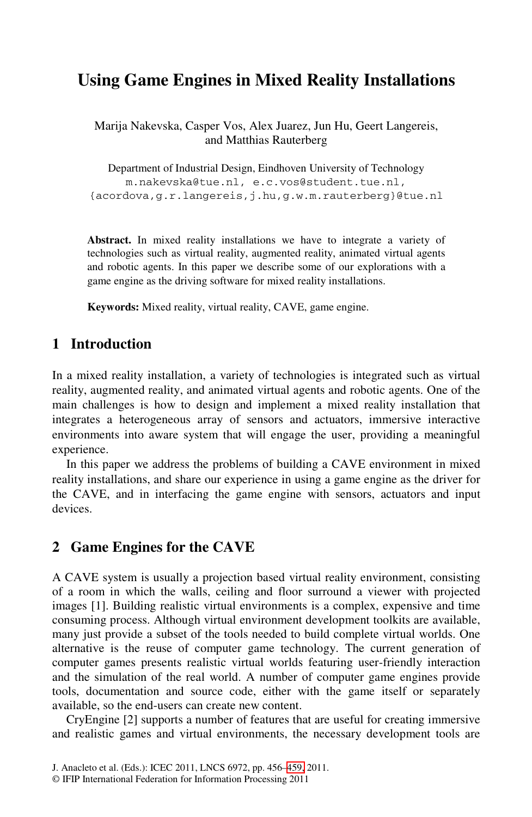# **Using Game Engines in Mixed Reality Installations**

Marija Nakevska, Casper Vos, Alex Juarez, Jun Hu, Geert Langereis, and Matthias Rauterberg

Department of Industrial Design, Eindhoven University of Technology m.nakevska@tue.nl, e.c.vos@student.tue.nl, {acordova,g.r.langereis,j.hu,g.w.m.rauterberg}@tue.nl

**Abstract.** In mixed reality installations we have to integrate a variety of technologies such as virtual reality, augmented reality, animated virtual agents and robotic agents. In this paper we describe some of our explorations with a game engine as the driving software for mixed reality installations.

**Keywords:** Mixed reality, virtual reality, CAVE, game engine.

## **1 Introduction**

In a mixed reality installation, a variety of technologies is integrated such as virtual reality, augmented reality, and animated virtual agents and robotic agents. One of the main challenges is how to design and implement a mixed reality installation that integrates a heterogeneous array of sensors and actuators, immersive interactive environments into aware system that will engage the user, providing a meaningful experience.

In this paper we address the problems of building a CAVE environment in mixed reality installations, and share our experience in using a game engine as the driver for the CAVE, and in interfacing the game engine with sensors, actuators and input devices.

## **2 Game Engines for the CAVE**

A CAVE system is usually a projection based virtual reality environment, consisting of a room in which the walls, ceiling and floor surround a viewer with projected images [1]. Building realistic virtual environments is a complex, expensive and time consuming process. Although virtual environment development toolkits are available, many just provide a subset of the tools needed to build complete virtual worlds. One alternative is the reuse o[f co](#page-3-0)mputer game technology. The current generation of computer games presents realistic virtual worlds featuring user-friendly interaction and the simulation of the real world. A number of computer game engines provide tools, documentation and source code, either with the game itself or separately available, so the end-users can create new content.

CryEngine [2] supports a number of features that are useful for creating immersive and realistic games and virtual environments, the necessary development tools are

J. Anacleto et al. (Eds.): ICEC 2011, LNCS 6972, pp. 456–459, 2011.

<sup>©</sup> IFIP International Federation for Information Processing 2011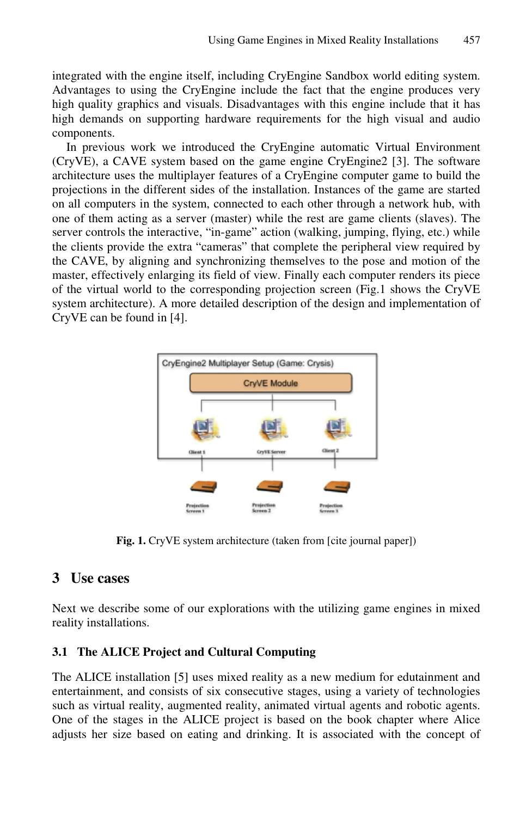integrated with the engine itself, including CryEngine Sandbox world editing system. Advantages to using the CryEngine include the fact that the engine produces very high quality graphics and visuals. Disadvantages with this engine include that it has high demands on supporting hardware requirements for the high visual and audio components.

In previous work we introduced the CryEngine automatic Virtual Environment (CryVE), a CAVE system based on the game engine CryEngine2 [3]. The software architecture uses the multiplayer features of a CryEngine computer game to build the projections in the different sides of the installation. Instances of the game are started on all computers in the system, connected to each other through a network hub, with one of them acting as a server (master) while the rest are game clients (slaves). The server controls the interactive, "in-game" action (walking, jumping, flying, etc.) while the clients provide the extra "cameras" that complete the peripheral view required by the CAVE, by aligning and synchronizing themselves to the pose and motion of the master, effectively enlarging its field of view. Finally each computer renders its piece of the virtual world to the corresponding projection screen (Fig.1 shows the CryVE system architecture). A more detailed description of the design and implementation of CryVE can be found in [4].



**Fig. 1.** CryVE system architecture (taken from [cite journal paper])

# **3 Use cases**

Next we describe some of our explorations with the utilizing game engines in mixed reality installations.

#### **3.1 The ALICE Project and Cultural Computing**

The ALICE installation [5] uses mixed reality as a new medium for edutainment and entertainment, and consists of six consecutive stages, using a variety of technologies such as virtual reality, augmented reality, animated virtual agents and robotic agents. One of the stages in the ALICE project is based on the book chapter where Alice adjusts her size based on eating and drinking. It is associated with the concept of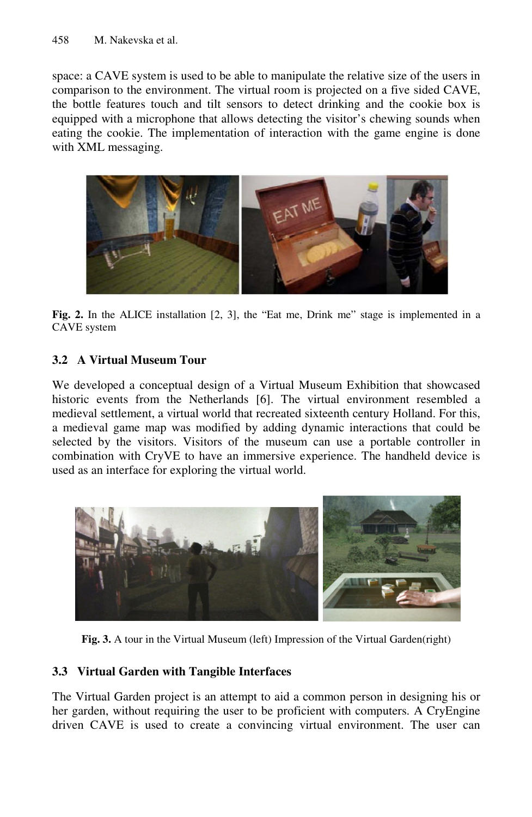space: a CAVE system is used to be able to manipulate the relative size of the users in comparison to the environment. The virtual room is projected on a five sided CAVE, the bottle features touch and tilt sensors to detect drinking and the cookie box is equipped with a microphone that allows detecting the visitor's chewing sounds when eating the cookie. The implementation of interaction with the game engine is done with XML messaging.



**Fig. 2.** In the ALICE installation [2, 3], the "Eat me, Drink me" stage is implemented in a CAVE system

#### **3.2 A Virtual Museum Tour**

We developed a conceptual design of a Virtual Museum Exhibition that showcased historic events from the Netherlands [6]. The virtual environment resembled a medieval settlement, a virtual world that recreated sixteenth century Holland. For this, a medieval game map was modified by adding dynamic interactions that could be selected by the visitors. Visitors of the museum can use a portable controller in combination with CryVE to have an immersive experience. The handheld device is used as an interface for exploring the virtual world.



**Fig. 3.** A tour in the Virtual Museum (left) Impression of the Virtual Garden(right)

#### **3.3 Virtual Garden with Tangible Interfaces**

The Virtual Garden project is an attempt to aid a common person in designing his or her garden, without requiring the user to be proficient with computers. A CryEngine driven CAVE is used to create a convincing virtual environment. The user can